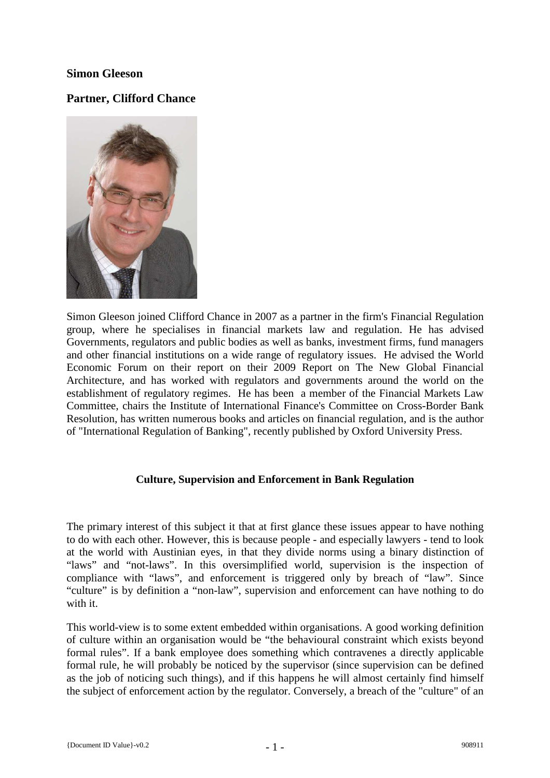# **Simon Gleeson**

# **Partner, Clifford Chance**



Simon Gleeson joined Clifford Chance in 2007 as a partner in the firm's Financial Regulation group, where he specialises in financial markets law and regulation. He has advised Governments, regulators and public bodies as well as banks, investment firms, fund managers and other financial institutions on a wide range of regulatory issues. He advised the World Economic Forum on their report on their 2009 Report on The New Global Financial Architecture, and has worked with regulators and governments around the world on the establishment of regulatory regimes. He has been a member of the Financial Markets Law Committee, chairs the Institute of International Finance's Committee on Cross-Border Bank Resolution, has written numerous books and articles on financial regulation, and is the author of "International Regulation of Banking", recently published by Oxford University Press.

#### **Culture, Supervision and Enforcement in Bank Regulation**

The primary interest of this subject it that at first glance these issues appear to have nothing to do with each other. However, this is because people - and especially lawyers - tend to look at the world with Austinian eyes, in that they divide norms using a binary distinction of "laws" and "not-laws". In this oversimplified world, supervision is the inspection of compliance with "laws", and enforcement is triggered only by breach of "law". Since "culture" is by definition a "non-law", supervision and enforcement can have nothing to do with it.

This world-view is to some extent embedded within organisations. A good working definition of culture within an organisation would be "the behavioural constraint which exists beyond formal rules". If a bank employee does something which contravenes a directly applicable formal rule, he will probably be noticed by the supervisor (since supervision can be defined as the job of noticing such things), and if this happens he will almost certainly find himself the subject of enforcement action by the regulator. Conversely, a breach of the "culture" of an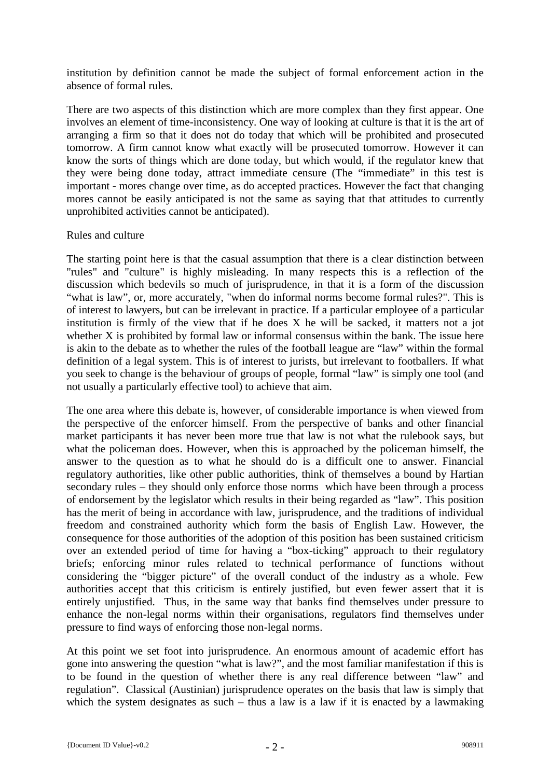institution by definition cannot be made the subject of formal enforcement action in the absence of formal rules.

There are two aspects of this distinction which are more complex than they first appear. One involves an element of time-inconsistency. One way of looking at culture is that it is the art of arranging a firm so that it does not do today that which will be prohibited and prosecuted tomorrow. A firm cannot know what exactly will be prosecuted tomorrow. However it can know the sorts of things which are done today, but which would, if the regulator knew that they were being done today, attract immediate censure (The "immediate" in this test is important - mores change over time, as do accepted practices. However the fact that changing mores cannot be easily anticipated is not the same as saying that that attitudes to currently unprohibited activities cannot be anticipated).

#### Rules and culture

The starting point here is that the casual assumption that there is a clear distinction between "rules" and "culture" is highly misleading. In many respects this is a reflection of the discussion which bedevils so much of jurisprudence, in that it is a form of the discussion "what is law", or, more accurately, "when do informal norms become formal rules?". This is of interest to lawyers, but can be irrelevant in practice. If a particular employee of a particular institution is firmly of the view that if he does X he will be sacked, it matters not a jot whether X is prohibited by formal law or informal consensus within the bank. The issue here is akin to the debate as to whether the rules of the football league are "law" within the formal definition of a legal system. This is of interest to jurists, but irrelevant to footballers. If what you seek to change is the behaviour of groups of people, formal "law" is simply one tool (and not usually a particularly effective tool) to achieve that aim.

The one area where this debate is, however, of considerable importance is when viewed from the perspective of the enforcer himself. From the perspective of banks and other financial market participants it has never been more true that law is not what the rulebook says, but what the policeman does. However, when this is approached by the policeman himself, the answer to the question as to what he should do is a difficult one to answer. Financial regulatory authorities, like other public authorities, think of themselves a bound by Hartian secondary rules – they should only enforce those norms which have been through a process of endorsement by the legislator which results in their being regarded as "law". This position has the merit of being in accordance with law, jurisprudence, and the traditions of individual freedom and constrained authority which form the basis of English Law. However, the consequence for those authorities of the adoption of this position has been sustained criticism over an extended period of time for having a "box-ticking" approach to their regulatory briefs; enforcing minor rules related to technical performance of functions without considering the "bigger picture" of the overall conduct of the industry as a whole. Few authorities accept that this criticism is entirely justified, but even fewer assert that it is entirely unjustified. Thus, in the same way that banks find themselves under pressure to enhance the non-legal norms within their organisations, regulators find themselves under pressure to find ways of enforcing those non-legal norms.

At this point we set foot into jurisprudence. An enormous amount of academic effort has gone into answering the question "what is law?", and the most familiar manifestation if this is to be found in the question of whether there is any real difference between "law" and regulation". Classical (Austinian) jurisprudence operates on the basis that law is simply that which the system designates as such – thus a law is a law if it is enacted by a lawmaking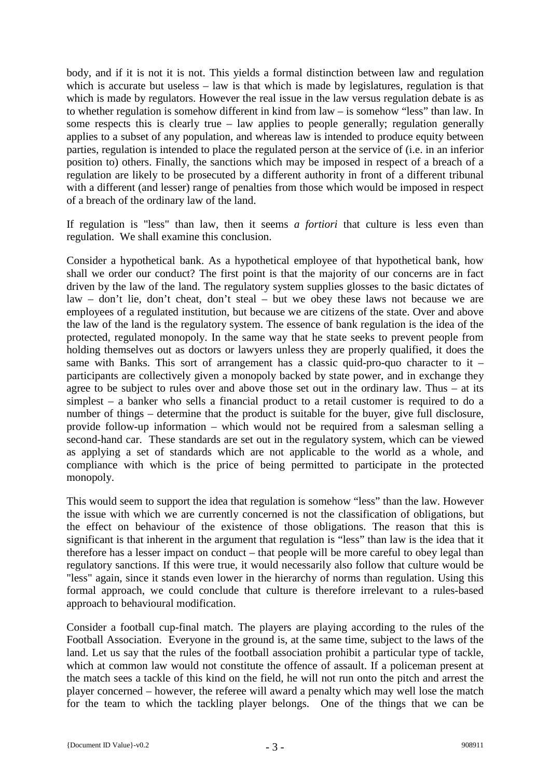body, and if it is not it is not. This yields a formal distinction between law and regulation which is accurate but useless – law is that which is made by legislatures, regulation is that which is made by regulators. However the real issue in the law versus regulation debate is as to whether regulation is somehow different in kind from law – is somehow "less" than law. In some respects this is clearly true – law applies to people generally; regulation generally applies to a subset of any population, and whereas law is intended to produce equity between parties, regulation is intended to place the regulated person at the service of (i.e. in an inferior position to) others. Finally, the sanctions which may be imposed in respect of a breach of a regulation are likely to be prosecuted by a different authority in front of a different tribunal with a different (and lesser) range of penalties from those which would be imposed in respect of a breach of the ordinary law of the land.

If regulation is "less" than law, then it seems *a fortiori* that culture is less even than regulation. We shall examine this conclusion.

Consider a hypothetical bank. As a hypothetical employee of that hypothetical bank, how shall we order our conduct? The first point is that the majority of our concerns are in fact driven by the law of the land. The regulatory system supplies glosses to the basic dictates of law – don't lie, don't cheat, don't steal – but we obey these laws not because we are employees of a regulated institution, but because we are citizens of the state. Over and above the law of the land is the regulatory system. The essence of bank regulation is the idea of the protected, regulated monopoly. In the same way that he state seeks to prevent people from holding themselves out as doctors or lawyers unless they are properly qualified, it does the same with Banks. This sort of arrangement has a classic quid-pro-quo character to it – participants are collectively given a monopoly backed by state power, and in exchange they agree to be subject to rules over and above those set out in the ordinary law. Thus – at its simplest – a banker who sells a financial product to a retail customer is required to do a number of things – determine that the product is suitable for the buyer, give full disclosure, provide follow-up information – which would not be required from a salesman selling a second-hand car. These standards are set out in the regulatory system, which can be viewed as applying a set of standards which are not applicable to the world as a whole, and compliance with which is the price of being permitted to participate in the protected monopoly.

This would seem to support the idea that regulation is somehow "less" than the law. However the issue with which we are currently concerned is not the classification of obligations, but the effect on behaviour of the existence of those obligations. The reason that this is significant is that inherent in the argument that regulation is "less" than law is the idea that it therefore has a lesser impact on conduct – that people will be more careful to obey legal than regulatory sanctions. If this were true, it would necessarily also follow that culture would be "less" again, since it stands even lower in the hierarchy of norms than regulation. Using this formal approach, we could conclude that culture is therefore irrelevant to a rules-based approach to behavioural modification.

Consider a football cup-final match. The players are playing according to the rules of the Football Association. Everyone in the ground is, at the same time, subject to the laws of the land. Let us say that the rules of the football association prohibit a particular type of tackle, which at common law would not constitute the offence of assault. If a policeman present at the match sees a tackle of this kind on the field, he will not run onto the pitch and arrest the player concerned – however, the referee will award a penalty which may well lose the match for the team to which the tackling player belongs. One of the things that we can be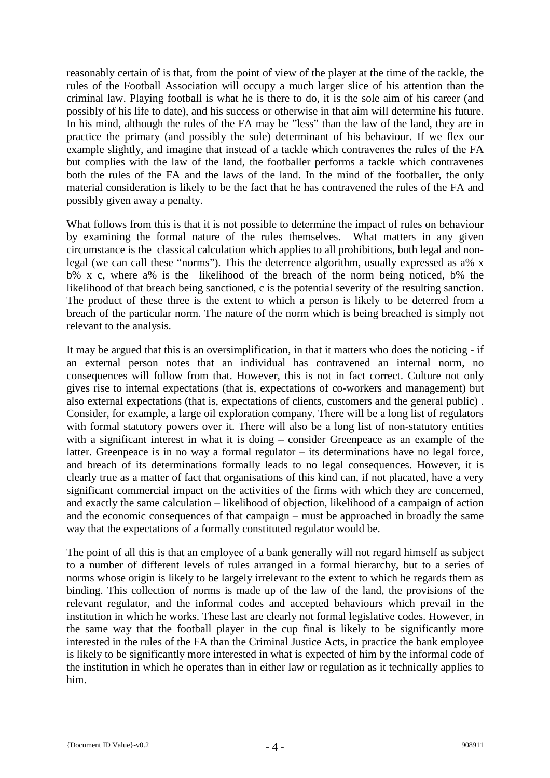reasonably certain of is that, from the point of view of the player at the time of the tackle, the rules of the Football Association will occupy a much larger slice of his attention than the criminal law. Playing football is what he is there to do, it is the sole aim of his career (and possibly of his life to date), and his success or otherwise in that aim will determine his future. In his mind, although the rules of the FA may be "less" than the law of the land, they are in practice the primary (and possibly the sole) determinant of his behaviour. If we flex our example slightly, and imagine that instead of a tackle which contravenes the rules of the FA but complies with the law of the land, the footballer performs a tackle which contravenes both the rules of the FA and the laws of the land. In the mind of the footballer, the only material consideration is likely to be the fact that he has contravened the rules of the FA and possibly given away a penalty.

What follows from this is that it is not possible to determine the impact of rules on behaviour by examining the formal nature of the rules themselves. What matters in any given circumstance is the classical calculation which applies to all prohibitions, both legal and nonlegal (we can call these "norms"). This the deterrence algorithm, usually expressed as a% x b% x c, where a% is the likelihood of the breach of the norm being noticed, b% the likelihood of that breach being sanctioned, c is the potential severity of the resulting sanction. The product of these three is the extent to which a person is likely to be deterred from a breach of the particular norm. The nature of the norm which is being breached is simply not relevant to the analysis.

It may be argued that this is an oversimplification, in that it matters who does the noticing - if an external person notes that an individual has contravened an internal norm, no consequences will follow from that. However, this is not in fact correct. Culture not only gives rise to internal expectations (that is, expectations of co-workers and management) but also external expectations (that is, expectations of clients, customers and the general public) . Consider, for example, a large oil exploration company. There will be a long list of regulators with formal statutory powers over it. There will also be a long list of non-statutory entities with a significant interest in what it is doing – consider Greenpeace as an example of the latter. Greenpeace is in no way a formal regulator – its determinations have no legal force, and breach of its determinations formally leads to no legal consequences. However, it is clearly true as a matter of fact that organisations of this kind can, if not placated, have a very significant commercial impact on the activities of the firms with which they are concerned, and exactly the same calculation – likelihood of objection, likelihood of a campaign of action and the economic consequences of that campaign – must be approached in broadly the same way that the expectations of a formally constituted regulator would be.

The point of all this is that an employee of a bank generally will not regard himself as subject to a number of different levels of rules arranged in a formal hierarchy, but to a series of norms whose origin is likely to be largely irrelevant to the extent to which he regards them as binding. This collection of norms is made up of the law of the land, the provisions of the relevant regulator, and the informal codes and accepted behaviours which prevail in the institution in which he works. These last are clearly not formal legislative codes. However, in the same way that the football player in the cup final is likely to be significantly more interested in the rules of the FA than the Criminal Justice Acts, in practice the bank employee is likely to be significantly more interested in what is expected of him by the informal code of the institution in which he operates than in either law or regulation as it technically applies to him.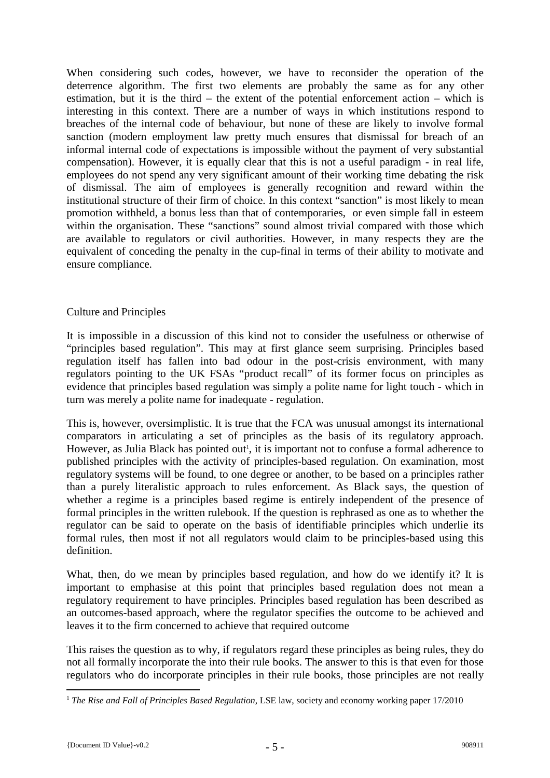When considering such codes, however, we have to reconsider the operation of the deterrence algorithm. The first two elements are probably the same as for any other estimation, but it is the third – the extent of the potential enforcement action – which is interesting in this context. There are a number of ways in which institutions respond to breaches of the internal code of behaviour, but none of these are likely to involve formal sanction (modern employment law pretty much ensures that dismissal for breach of an informal internal code of expectations is impossible without the payment of very substantial compensation). However, it is equally clear that this is not a useful paradigm - in real life, employees do not spend any very significant amount of their working time debating the risk of dismissal. The aim of employees is generally recognition and reward within the institutional structure of their firm of choice. In this context "sanction" is most likely to mean promotion withheld, a bonus less than that of contemporaries, or even simple fall in esteem within the organisation. These "sanctions" sound almost trivial compared with those which are available to regulators or civil authorities. However, in many respects they are the equivalent of conceding the penalty in the cup-final in terms of their ability to motivate and ensure compliance.

### Culture and Principles

It is impossible in a discussion of this kind not to consider the usefulness or otherwise of "principles based regulation". This may at first glance seem surprising. Principles based regulation itself has fallen into bad odour in the post-crisis environment, with many regulators pointing to the UK FSAs "product recall" of its former focus on principles as evidence that principles based regulation was simply a polite name for light touch - which in turn was merely a polite name for inadequate - regulation.

This is, however, oversimplistic. It is true that the FCA was unusual amongst its international comparators in articulating a set of principles as the basis of its regulatory approach. However, as Julia Black has pointed out<sup>1</sup>, it is important not to confuse a formal adherence to published principles with the activity of principles-based regulation. On examination, most regulatory systems will be found, to one degree or another, to be based on a principles rather than a purely literalistic approach to rules enforcement. As Black says, the question of whether a regime is a principles based regime is entirely independent of the presence of formal principles in the written rulebook. If the question is rephrased as one as to whether the regulator can be said to operate on the basis of identifiable principles which underlie its formal rules, then most if not all regulators would claim to be principles-based using this definition.

What, then, do we mean by principles based regulation, and how do we identify it? It is important to emphasise at this point that principles based regulation does not mean a regulatory requirement to have principles. Principles based regulation has been described as an outcomes-based approach, where the regulator specifies the outcome to be achieved and leaves it to the firm concerned to achieve that required outcome

This raises the question as to why, if regulators regard these principles as being rules, they do not all formally incorporate the into their rule books. The answer to this is that even for those regulators who do incorporate principles in their rule books, those principles are not really

 $\overline{a}$ 

<sup>&</sup>lt;sup>1</sup> *The Rise and Fall of Principles Based Regulation*, LSE law, society and economy working paper 17/2010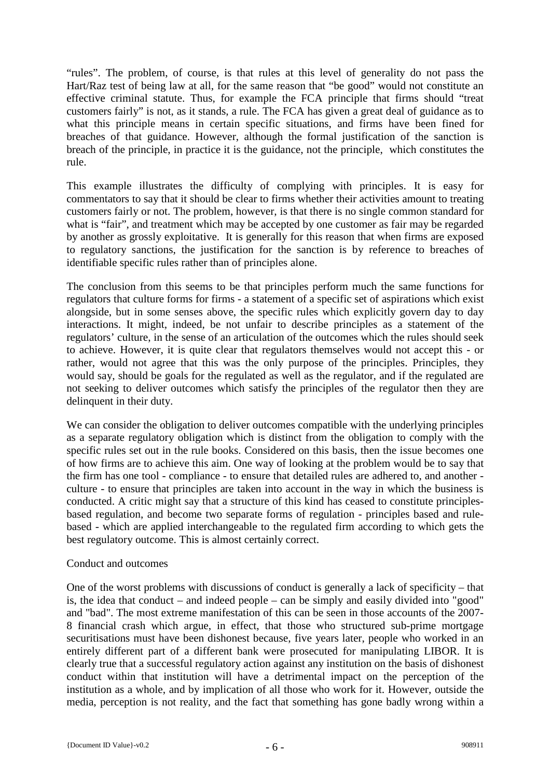"rules". The problem, of course, is that rules at this level of generality do not pass the Hart/Raz test of being law at all, for the same reason that "be good" would not constitute an effective criminal statute. Thus, for example the FCA principle that firms should "treat customers fairly" is not, as it stands, a rule. The FCA has given a great deal of guidance as to what this principle means in certain specific situations, and firms have been fined for breaches of that guidance. However, although the formal justification of the sanction is breach of the principle, in practice it is the guidance, not the principle, which constitutes the rule.

This example illustrates the difficulty of complying with principles. It is easy for commentators to say that it should be clear to firms whether their activities amount to treating customers fairly or not. The problem, however, is that there is no single common standard for what is "fair", and treatment which may be accepted by one customer as fair may be regarded by another as grossly exploitative. It is generally for this reason that when firms are exposed to regulatory sanctions, the justification for the sanction is by reference to breaches of identifiable specific rules rather than of principles alone.

The conclusion from this seems to be that principles perform much the same functions for regulators that culture forms for firms - a statement of a specific set of aspirations which exist alongside, but in some senses above, the specific rules which explicitly govern day to day interactions. It might, indeed, be not unfair to describe principles as a statement of the regulators' culture, in the sense of an articulation of the outcomes which the rules should seek to achieve. However, it is quite clear that regulators themselves would not accept this - or rather, would not agree that this was the only purpose of the principles. Principles, they would say, should be goals for the regulated as well as the regulator, and if the regulated are not seeking to deliver outcomes which satisfy the principles of the regulator then they are delinquent in their duty.

We can consider the obligation to deliver outcomes compatible with the underlying principles as a separate regulatory obligation which is distinct from the obligation to comply with the specific rules set out in the rule books. Considered on this basis, then the issue becomes one of how firms are to achieve this aim. One way of looking at the problem would be to say that the firm has one tool - compliance - to ensure that detailed rules are adhered to, and another culture - to ensure that principles are taken into account in the way in which the business is conducted. A critic might say that a structure of this kind has ceased to constitute principlesbased regulation, and become two separate forms of regulation - principles based and rulebased - which are applied interchangeable to the regulated firm according to which gets the best regulatory outcome. This is almost certainly correct.

#### Conduct and outcomes

One of the worst problems with discussions of conduct is generally a lack of specificity – that is, the idea that conduct – and indeed people – can be simply and easily divided into "good" and "bad". The most extreme manifestation of this can be seen in those accounts of the 2007- 8 financial crash which argue, in effect, that those who structured sub-prime mortgage securitisations must have been dishonest because, five years later, people who worked in an entirely different part of a different bank were prosecuted for manipulating LIBOR. It is clearly true that a successful regulatory action against any institution on the basis of dishonest conduct within that institution will have a detrimental impact on the perception of the institution as a whole, and by implication of all those who work for it. However, outside the media, perception is not reality, and the fact that something has gone badly wrong within a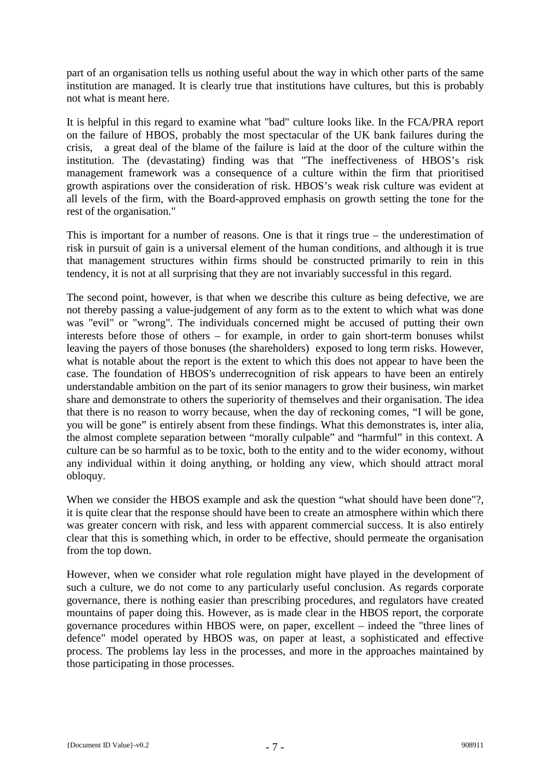part of an organisation tells us nothing useful about the way in which other parts of the same institution are managed. It is clearly true that institutions have cultures, but this is probably not what is meant here.

It is helpful in this regard to examine what "bad" culture looks like. In the FCA/PRA report on the failure of HBOS, probably the most spectacular of the UK bank failures during the crisis, a great deal of the blame of the failure is laid at the door of the culture within the institution. The (devastating) finding was that "The ineffectiveness of HBOS's risk management framework was a consequence of a culture within the firm that prioritised growth aspirations over the consideration of risk. HBOS's weak risk culture was evident at all levels of the firm, with the Board-approved emphasis on growth setting the tone for the rest of the organisation."

This is important for a number of reasons. One is that it rings true – the underestimation of risk in pursuit of gain is a universal element of the human conditions, and although it is true that management structures within firms should be constructed primarily to rein in this tendency, it is not at all surprising that they are not invariably successful in this regard.

The second point, however, is that when we describe this culture as being defective, we are not thereby passing a value-judgement of any form as to the extent to which what was done was "evil" or "wrong". The individuals concerned might be accused of putting their own interests before those of others – for example, in order to gain short-term bonuses whilst leaving the payers of those bonuses (the shareholders) exposed to long term risks. However, what is notable about the report is the extent to which this does not appear to have been the case. The foundation of HBOS's underrecognition of risk appears to have been an entirely understandable ambition on the part of its senior managers to grow their business, win market share and demonstrate to others the superiority of themselves and their organisation. The idea that there is no reason to worry because, when the day of reckoning comes, "I will be gone, you will be gone" is entirely absent from these findings. What this demonstrates is, inter alia, the almost complete separation between "morally culpable" and "harmful" in this context. A culture can be so harmful as to be toxic, both to the entity and to the wider economy, without any individual within it doing anything, or holding any view, which should attract moral obloquy.

When we consider the HBOS example and ask the question "what should have been done"?, it is quite clear that the response should have been to create an atmosphere within which there was greater concern with risk, and less with apparent commercial success. It is also entirely clear that this is something which, in order to be effective, should permeate the organisation from the top down.

However, when we consider what role regulation might have played in the development of such a culture, we do not come to any particularly useful conclusion. As regards corporate governance, there is nothing easier than prescribing procedures, and regulators have created mountains of paper doing this. However, as is made clear in the HBOS report, the corporate governance procedures within HBOS were, on paper, excellent – indeed the "three lines of defence" model operated by HBOS was, on paper at least, a sophisticated and effective process. The problems lay less in the processes, and more in the approaches maintained by those participating in those processes.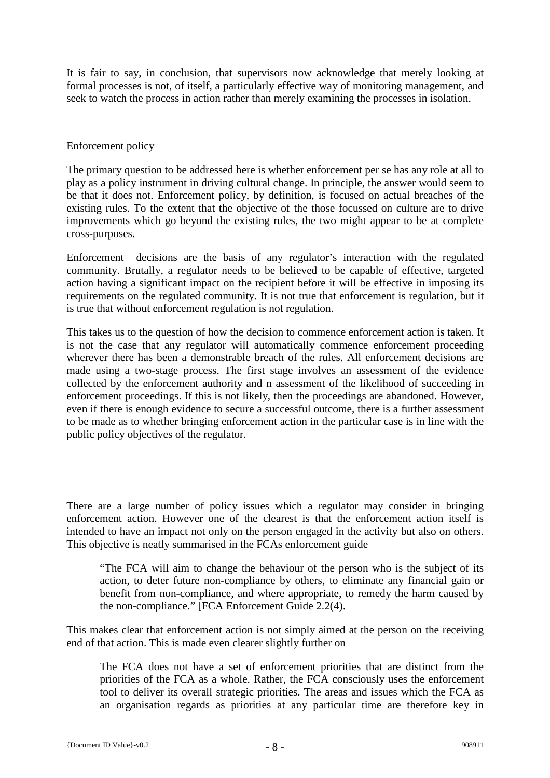It is fair to say, in conclusion, that supervisors now acknowledge that merely looking at formal processes is not, of itself, a particularly effective way of monitoring management, and seek to watch the process in action rather than merely examining the processes in isolation.

# Enforcement policy

The primary question to be addressed here is whether enforcement per se has any role at all to play as a policy instrument in driving cultural change. In principle, the answer would seem to be that it does not. Enforcement policy, by definition, is focused on actual breaches of the existing rules. To the extent that the objective of the those focussed on culture are to drive improvements which go beyond the existing rules, the two might appear to be at complete cross-purposes.

Enforcement decisions are the basis of any regulator's interaction with the regulated community. Brutally, a regulator needs to be believed to be capable of effective, targeted action having a significant impact on the recipient before it will be effective in imposing its requirements on the regulated community. It is not true that enforcement is regulation, but it is true that without enforcement regulation is not regulation.

This takes us to the question of how the decision to commence enforcement action is taken. It is not the case that any regulator will automatically commence enforcement proceeding wherever there has been a demonstrable breach of the rules. All enforcement decisions are made using a two-stage process. The first stage involves an assessment of the evidence collected by the enforcement authority and n assessment of the likelihood of succeeding in enforcement proceedings. If this is not likely, then the proceedings are abandoned. However, even if there is enough evidence to secure a successful outcome, there is a further assessment to be made as to whether bringing enforcement action in the particular case is in line with the public policy objectives of the regulator.

There are a large number of policy issues which a regulator may consider in bringing enforcement action. However one of the clearest is that the enforcement action itself is intended to have an impact not only on the person engaged in the activity but also on others. This objective is neatly summarised in the FCAs enforcement guide

"The FCA will aim to change the behaviour of the person who is the subject of its action, to deter future non-compliance by others, to eliminate any financial gain or benefit from non-compliance, and where appropriate, to remedy the harm caused by the non-compliance." [FCA Enforcement Guide 2.2(4).

This makes clear that enforcement action is not simply aimed at the person on the receiving end of that action. This is made even clearer slightly further on

The FCA does not have a set of enforcement priorities that are distinct from the priorities of the FCA as a whole. Rather, the FCA consciously uses the enforcement tool to deliver its overall strategic priorities. The areas and issues which the FCA as an organisation regards as priorities at any particular time are therefore key in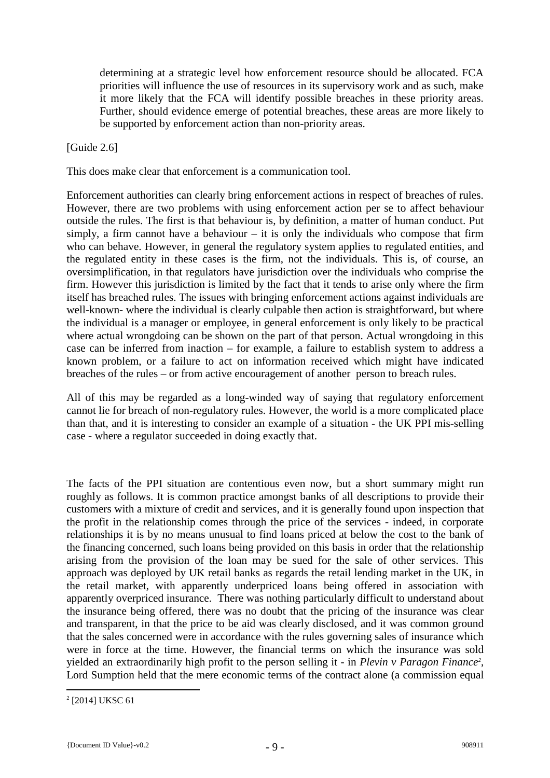determining at a strategic level how enforcement resource should be allocated. FCA priorities will influence the use of resources in its supervisory work and as such, make it more likely that the FCA will identify possible breaches in these priority areas. Further, should evidence emerge of potential breaches, these areas are more likely to be supported by enforcement action than non-priority areas.

[Guide 2.6]

This does make clear that enforcement is a communication tool.

Enforcement authorities can clearly bring enforcement actions in respect of breaches of rules. However, there are two problems with using enforcement action per se to affect behaviour outside the rules. The first is that behaviour is, by definition, a matter of human conduct. Put simply, a firm cannot have a behaviour  $-$  it is only the individuals who compose that firm who can behave. However, in general the regulatory system applies to regulated entities, and the regulated entity in these cases is the firm, not the individuals. This is, of course, an oversimplification, in that regulators have jurisdiction over the individuals who comprise the firm. However this jurisdiction is limited by the fact that it tends to arise only where the firm itself has breached rules. The issues with bringing enforcement actions against individuals are well-known- where the individual is clearly culpable then action is straightforward, but where the individual is a manager or employee, in general enforcement is only likely to be practical where actual wrongdoing can be shown on the part of that person. Actual wrongdoing in this case can be inferred from inaction – for example, a failure to establish system to address a known problem, or a failure to act on information received which might have indicated breaches of the rules – or from active encouragement of another person to breach rules.

All of this may be regarded as a long-winded way of saying that regulatory enforcement cannot lie for breach of non-regulatory rules. However, the world is a more complicated place than that, and it is interesting to consider an example of a situation - the UK PPI mis-selling case - where a regulator succeeded in doing exactly that.

The facts of the PPI situation are contentious even now, but a short summary might run roughly as follows. It is common practice amongst banks of all descriptions to provide their customers with a mixture of credit and services, and it is generally found upon inspection that the profit in the relationship comes through the price of the services - indeed, in corporate relationships it is by no means unusual to find loans priced at below the cost to the bank of the financing concerned, such loans being provided on this basis in order that the relationship arising from the provision of the loan may be sued for the sale of other services. This approach was deployed by UK retail banks as regards the retail lending market in the UK, in the retail market, with apparently underpriced loans being offered in association with apparently overpriced insurance. There was nothing particularly difficult to understand about the insurance being offered, there was no doubt that the pricing of the insurance was clear and transparent, in that the price to be aid was clearly disclosed, and it was common ground that the sales concerned were in accordance with the rules governing sales of insurance which were in force at the time. However, the financial terms on which the insurance was sold yielded an extraordinarily high profit to the person selling it - in *Plevin v Paragon Finance<sup>2</sup>* , Lord Sumption held that the mere economic terms of the contract alone (a commission equal

 $\overline{a}$ 

<sup>&</sup>lt;sup>2</sup> [2014] UKSC 61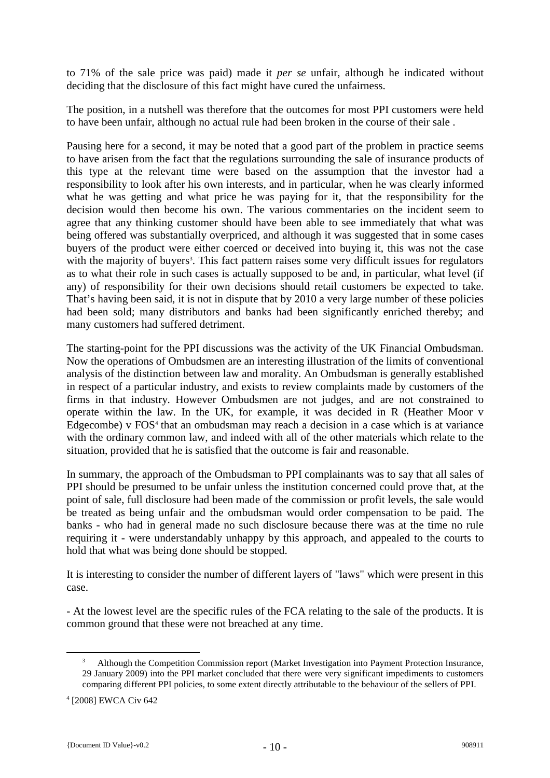to 71% of the sale price was paid) made it *per se* unfair, although he indicated without deciding that the disclosure of this fact might have cured the unfairness.

The position, in a nutshell was therefore that the outcomes for most PPI customers were held to have been unfair, although no actual rule had been broken in the course of their sale .

Pausing here for a second, it may be noted that a good part of the problem in practice seems to have arisen from the fact that the regulations surrounding the sale of insurance products of this type at the relevant time were based on the assumption that the investor had a responsibility to look after his own interests, and in particular, when he was clearly informed what he was getting and what price he was paying for it, that the responsibility for the decision would then become his own. The various commentaries on the incident seem to agree that any thinking customer should have been able to see immediately that what was being offered was substantially overpriced, and although it was suggested that in some cases buyers of the product were either coerced or deceived into buying it, this was not the case with the majority of buyers<sup>3</sup>. This fact pattern raises some very difficult issues for regulators as to what their role in such cases is actually supposed to be and, in particular, what level (if any) of responsibility for their own decisions should retail customers be expected to take. That's having been said, it is not in dispute that by 2010 a very large number of these policies had been sold; many distributors and banks had been significantly enriched thereby; and many customers had suffered detriment.

The starting-point for the PPI discussions was the activity of the UK Financial Ombudsman. Now the operations of Ombudsmen are an interesting illustration of the limits of conventional analysis of the distinction between law and morality. An Ombudsman is generally established in respect of a particular industry, and exists to review complaints made by customers of the firms in that industry. However Ombudsmen are not judges, and are not constrained to operate within the law. In the UK, for example, it was decided in R (Heather Moor v Edgecombe)  $v$  FOS $4$  that an ombudsman may reach a decision in a case which is at variance with the ordinary common law, and indeed with all of the other materials which relate to the situation, provided that he is satisfied that the outcome is fair and reasonable.

In summary, the approach of the Ombudsman to PPI complainants was to say that all sales of PPI should be presumed to be unfair unless the institution concerned could prove that, at the point of sale, full disclosure had been made of the commission or profit levels, the sale would be treated as being unfair and the ombudsman would order compensation to be paid. The banks - who had in general made no such disclosure because there was at the time no rule requiring it - were understandably unhappy by this approach, and appealed to the courts to hold that what was being done should be stopped.

It is interesting to consider the number of different layers of "laws" which were present in this case.

- At the lowest level are the specific rules of the FCA relating to the sale of the products. It is common ground that these were not breached at any time.

 $\overline{a}$ 

<sup>3</sup> Although the Competition Commission report (Market Investigation into Payment Protection Insurance, 29 January 2009) into the PPI market concluded that there were very significant impediments to customers comparing different PPI policies, to some extent directly attributable to the behaviour of the sellers of PPI.

<sup>4</sup> [2008] EWCA Civ 642